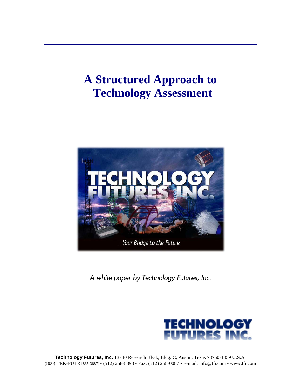# **A Structured Approach to Technology Assessment**



*A white paper by Technology Futures, Inc.*

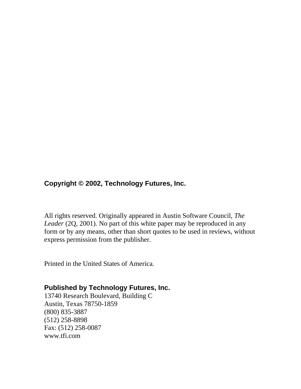### **Copyright © 2002, Technology Futures, Inc.**

All rights reserved. Originally appeared in Austin Software Council, *The Leader* (2Q, 2001). No part of this white paper may be reproduced in any form or by any means, other than short quotes to be used in reviews, without express permission from the publisher.

Printed in the United States of America.

#### **Published by Technology Futures, Inc.**

13740 Research Boulevard, Building C Austin, Texas 78750-1859 (800) 835-3887 (512) 258-8898 Fax: (512) 258-0087 www.tfi.com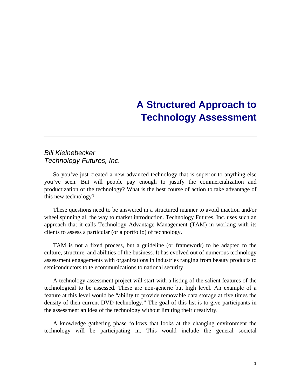## **A Structured Approach to Technology Assessment**

#### *Bill Kleinebecker Technology Futures, Inc.*

So you've just created a new advanced technology that is superior to anything else you've seen. But will people pay enough to justify the commercialization and productization of the technology? What is the best course of action to take advantage of this new technology?

These questions need to be answered in a structured manner to avoid inaction and/or wheel spinning all the way to market introduction. Technology Futures, Inc. uses such an approach that it calls Technology Advantage Management (TAM) in working with its clients to assess a particular (or a portfolio) of technology.

TAM is not a fixed process, but a guideline (or framework) to be adapted to the culture, structure, and abilities of the business. It has evolved out of numerous technology assessment engagements with organizations in industries ranging from beauty products to semiconductors to telecommunications to national security.

A technology assessment project will start with a listing of the salient features of the technological to be assessed. These are non-generic but high level. An example of a feature at this level would be "ability to provide removable data storage at five times the density of then current DVD technology." The goal of this list is to give participants in the assessment an idea of the technology without limiting their creativity.

A knowledge gathering phase follows that looks at the changing environment the technology will be participating in. This would include the general societal